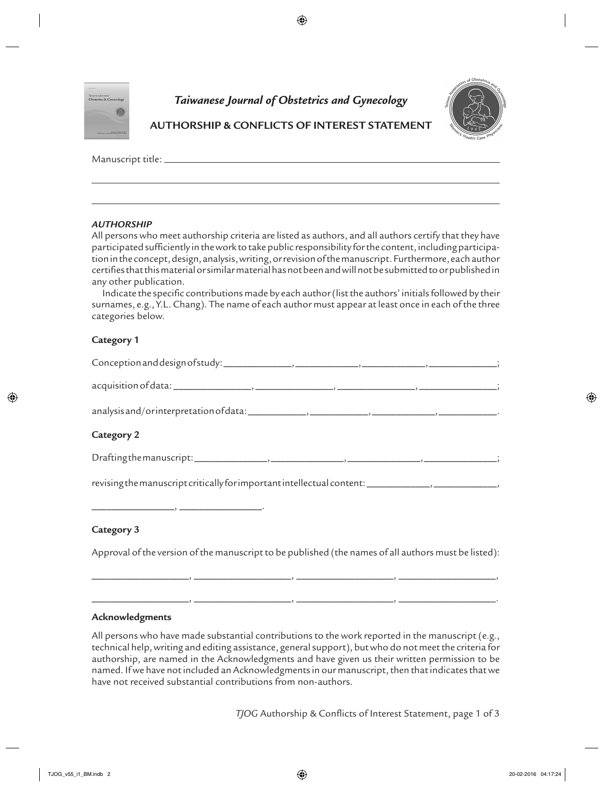

# *Taiwanese Journal of Obstetrics and Gynecology*

 $\bigoplus$ 



# **AUTHORSHIP & CONFLICTS OF INTEREST STATEMENT**

Manuscript title:

### *AUTHORSHIP*

All persons who meet authorship criteria are listed as authors, and all authors certify that they have participated sufficiently in the work to take public responsibility for the content, including participation in the concept, design, analysis, writing, or revision of the manuscript. Furthermore, each author certifies that this material or similar material has not been and will not be submitted to or published in any other publication.

Indicate the specific contributions made by each author (list the authors' initials followed by their surnames, e.g., Y.L. Chang). The name of each author must appear at least once in each of the three categories below.

### **Category 1**

| acquisition of data: ______________________, ____ |  |
|---------------------------------------------------|--|
| analysis and/orinterpretation of data:            |  |
| Category 2                                        |  |

## **Category 2**

⊕

| Drafting the manuscript: |  |
|--------------------------|--|
|                          |  |

\_\_\_\_\_\_\_\_\_\_\_\_\_\_\_\_\_, \_\_\_\_\_\_\_\_\_\_\_\_\_\_\_\_\_.

revising the manuscript critically for important intellectual content: \_\_\_\_\_\_\_\_\_\_\_\_\_\_\_\_\_\_\_\_\_\_\_\_\_\_\_\_\_

### **Category 3**

Approval of the version of the manuscript to be published (the names of all authors must be listed):

\_\_\_\_\_\_\_\_\_\_\_\_\_\_\_\_\_\_\_\_, \_\_\_\_\_\_\_\_\_\_\_\_\_\_\_\_\_\_\_\_, \_\_\_\_\_\_\_\_\_\_\_\_\_\_\_\_\_\_\_\_, \_\_\_\_\_\_\_\_\_\_\_\_\_\_\_\_\_\_\_\_.

### **Acknowledgments**

All persons who have made substantial contributions to the work reported in the manuscript (e.g., technical help, writing and editing assistance, general support), but who do not meet the criteria for authorship, are named in the Acknowledgments and have given us their written permission to be named. If we have not included an Acknowledgments in our manuscript, then that indicates that we have not received substantial contributions from non-authors.

*TJOG* Authorship & Conflicts of Interest Statement, page 1 of 3

 $\overline{\phantom{a}}$  ,  $\overline{\phantom{a}}$  ,  $\overline{\phantom{a}}$  ,  $\overline{\phantom{a}}$  ,  $\overline{\phantom{a}}$  ,  $\overline{\phantom{a}}$  ,  $\overline{\phantom{a}}$  ,  $\overline{\phantom{a}}$  ,  $\overline{\phantom{a}}$  ,  $\overline{\phantom{a}}$  ,  $\overline{\phantom{a}}$  ,  $\overline{\phantom{a}}$  ,  $\overline{\phantom{a}}$  ,  $\overline{\phantom{a}}$  ,  $\overline{\phantom{a}}$  ,  $\overline{\phantom{a}}$ 

Drafting the manuscript: \_\_\_\_\_\_\_\_\_\_\_\_\_\_\_, \_\_\_\_\_\_\_\_\_\_\_\_\_\_\_, \_\_\_\_\_\_\_\_\_\_\_\_\_\_\_, \_\_\_\_\_\_\_\_\_\_\_\_\_\_\_;

⊕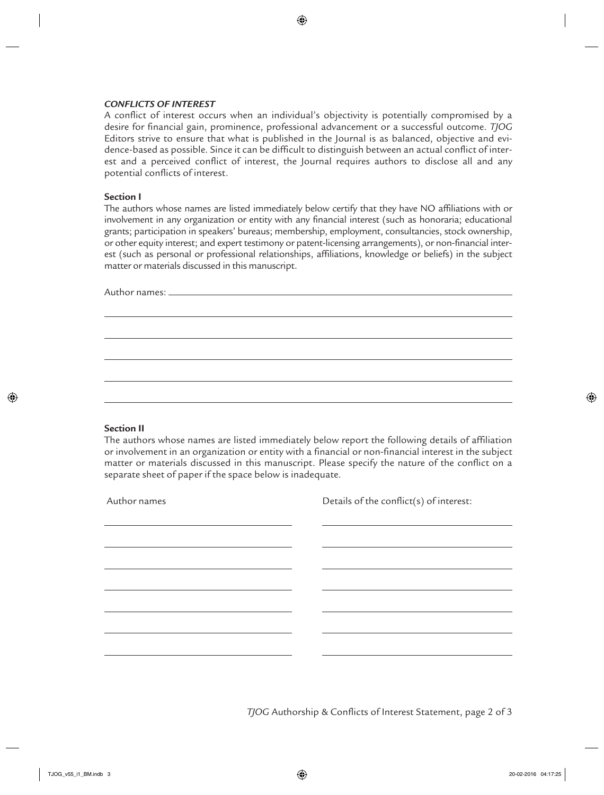#### *CONFLICTS OF INTEREST*

A conflict of interest occurs when an individual's objectivity is potentially compromised by a desire for financial gain, prominence, professional advancement or a successful outcome. *TJOG* Editors strive to ensure that what is published in the Journal is as balanced, objective and evidence-based as possible. Since it can be difficult to distinguish between an actual conflict of interest and a perceived conflict of interest, the Journal requires authors to disclose all and any potential conflicts of interest.

 $\bigoplus$ 

#### **Section I**

The authors whose names are listed immediately below certify that they have NO affiliations with or involvement in any organization or entity with any financial interest (such as honoraria; educational grants; participation in speakers' bureaus; membership, employment, consultancies, stock ownership, or other equity interest; and expert testimony or patent-licensing arrangements), or non-financial interest (such as personal or professional relationships, affiliations, knowledge or beliefs) in the subject matter or materials discussed in this manuscript.

Author names:

#### **Section II**

⊕

The authors whose names are listed immediately below report the following details of affiliation or involvement in an organization or entity with a financial or non-financial interest in the subject matter or materials discussed in this manuscript. Please specify the nature of the conflict on a separate sheet of paper if the space below is inadequate.

Author names Details of the conflict(s) of interest:

*TJOG* Authorship & Conflicts of Interest Statement, page 2 of 3

⊕